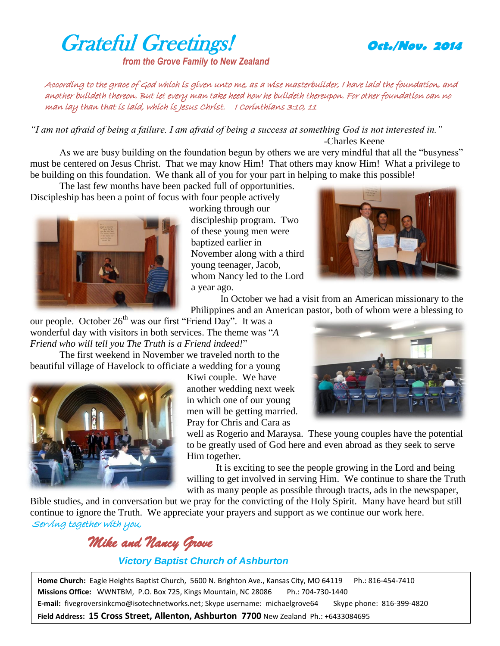## Grateful Greetings! **Oct./Nov. <sup>2014</sup>**

*from the Grove Family to New Zealand*



According to the grace of God which is given unto me, as a wise masterbuilder, I have laid the foundation, and another buildeth thereon. But let every man take heed how he buildeth thereupon. For other foundation can no man lay than that is laid, which is Jesus Christ. I Corinthians 3:10, 11

*"I am not afraid of being a failure. I am afraid of being a success at something God is not interested in."* -Charles Keene

As we are busy building on the foundation begun by others we are very mindful that all the "busyness" must be centered on Jesus Christ. That we may know Him! That others may know Him! What a privilege to be building on this foundation. We thank all of you for your part in helping to make this possible!

The last few months have been packed full of opportunities. Discipleship has been a point of focus with four people actively



working through our discipleship program. Two of these young men were baptized earlier in November along with a third young teenager, Jacob, whom Nancy led to the Lord a year ago.



In October we had a visit from an American missionary to the Philippines and an American pastor, both of whom were a blessing to

our people. October  $26<sup>th</sup>$  was our first "Friend Day". It was a wonderful day with visitors in both services. The theme was "*A Friend who will tell you The Truth is a Friend indeed!*"

The first weekend in November we traveled north to the beautiful village of Havelock to officiate a wedding for a young



Kiwi couple. We have another wedding next week in which one of our young men will be getting married. Pray for Chris and Cara as

well as Rogerio and Maraysa. These young couples have the potential to be greatly used of God here and even abroad as they seek to serve Him together.

It is exciting to see the people growing in the Lord and being willing to get involved in serving Him. We continue to share the Truth with as many people as possible through tracts, ads in the newspaper,

Bible studies, and in conversation but we pray for the convicting of the Holy Spirit. Many have heard but still continue to ignore the Truth. We appreciate your prayers and support as we continue our work here. Serving together with you,

*Mike and Nancy Grove* 

## *Victory Baptist Church of Ashburton*

**Home Church:** Eagle Heights Baptist Church, 5600 N. Brighton Ave., Kansas City, MO 64119 Ph.: 816-454-7410 **Missions Office:** WWNTBM, P.O. Box 725, Kings Mountain, NC 28086 Ph.: 704-730-1440 **E-mail:** fivegroversinkcmo@isotechnetworks.net; Skype username: michaelgrove64 Skype phone: 816-399-4820 **Field Address: 15 Cross Street, Allenton, Ashburton 7700** New Zealand Ph.: +6433084695